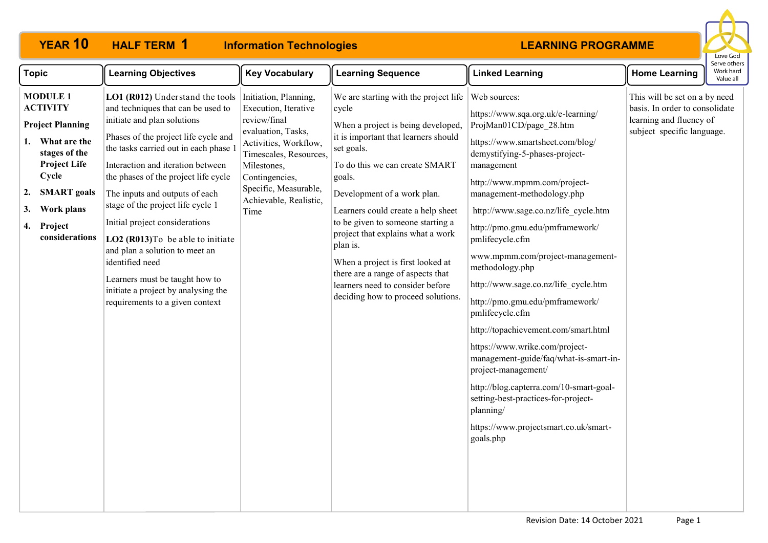#### **YEAR 10 HALF TERM Information Technologies HALF TERM 1**



| <b>Topic</b>                                                                                                                                                                                                            | <b>Learning Objectives</b>                                                                                                                                                                                                                                                                                                                                                                                                                                                                                                                                                        | <b>Key Vocabulary</b>                                                                                                                                                                                                              | <b>Learning Sequence</b>                                                                                                                                                                                                                                                                                                                                                                                                                                                                              | <b>Linked Learning</b>                                                                                                                                                                                                                                                                                                                                                                                                                                                                                                                                                                                                                                                                                                                                                             | <b>Home Learning</b>                                                                                                     | Work hard<br>Value all |
|-------------------------------------------------------------------------------------------------------------------------------------------------------------------------------------------------------------------------|-----------------------------------------------------------------------------------------------------------------------------------------------------------------------------------------------------------------------------------------------------------------------------------------------------------------------------------------------------------------------------------------------------------------------------------------------------------------------------------------------------------------------------------------------------------------------------------|------------------------------------------------------------------------------------------------------------------------------------------------------------------------------------------------------------------------------------|-------------------------------------------------------------------------------------------------------------------------------------------------------------------------------------------------------------------------------------------------------------------------------------------------------------------------------------------------------------------------------------------------------------------------------------------------------------------------------------------------------|------------------------------------------------------------------------------------------------------------------------------------------------------------------------------------------------------------------------------------------------------------------------------------------------------------------------------------------------------------------------------------------------------------------------------------------------------------------------------------------------------------------------------------------------------------------------------------------------------------------------------------------------------------------------------------------------------------------------------------------------------------------------------------|--------------------------------------------------------------------------------------------------------------------------|------------------------|
| <b>MODULE 1</b><br><b>ACTIVITY</b><br><b>Project Planning</b><br>What are the<br>1.<br>stages of the<br><b>Project Life</b><br>Cycle<br><b>SMART</b> goals<br>2.<br>Work plans<br>3.<br>Project<br>4.<br>considerations | LO1 (R012) Understand the tools<br>and techniques that can be used to<br>initiate and plan solutions<br>Phases of the project life cycle and<br>the tasks carried out in each phase 1<br>Interaction and iteration between<br>the phases of the project life cycle<br>The inputs and outputs of each<br>stage of the project life cycle 1<br>Initial project considerations<br>LO2 (R013) To be able to initiate<br>and plan a solution to meet an<br>identified need<br>Learners must be taught how to<br>initiate a project by analysing the<br>requirements to a given context | Initiation, Planning,<br>Execution, Iterative<br>review/final<br>evaluation, Tasks,<br>Activities, Workflow,<br>Timescales, Resources,<br>Milestones,<br>Contingencies,<br>Specific, Measurable,<br>Achievable, Realistic,<br>Time | We are starting with the project life<br>cycle<br>When a project is being developed,<br>it is important that learners should<br>set goals.<br>To do this we can create SMART<br>goals.<br>Development of a work plan.<br>Learners could create a help sheet<br>to be given to someone starting a<br>project that explains what a work<br>plan is.<br>When a project is first looked at<br>there are a range of aspects that<br>learners need to consider before<br>deciding how to proceed solutions. | Web sources:<br>https://www.sqa.org.uk/e-learning/<br>ProjMan01CD/page 28.htm<br>https://www.smartsheet.com/blog/<br>demystifying-5-phases-project-<br>management<br>http://www.mpmm.com/project-<br>management-methodology.php<br>http://www.sage.co.nz/life cycle.htm<br>http://pmo.gmu.edu/pmframework/<br>pmlifecycle.cfm<br>www.mpmm.com/project-management-<br>methodology.php<br>http://www.sage.co.nz/life cycle.htm<br>http://pmo.gmu.edu/pmframework/<br>pmlifecycle.cfm<br>http://topachievement.com/smart.html<br>https://www.wrike.com/project-<br>management-guide/faq/what-is-smart-in-<br>project-management/<br>http://blog.capterra.com/10-smart-goal-<br>setting-best-practices-for-project-<br>planning/<br>https://www.projectsmart.co.uk/smart-<br>goals.php | This will be set on a by need<br>basis. In order to consolidate<br>learning and fluency of<br>subject specific language. |                        |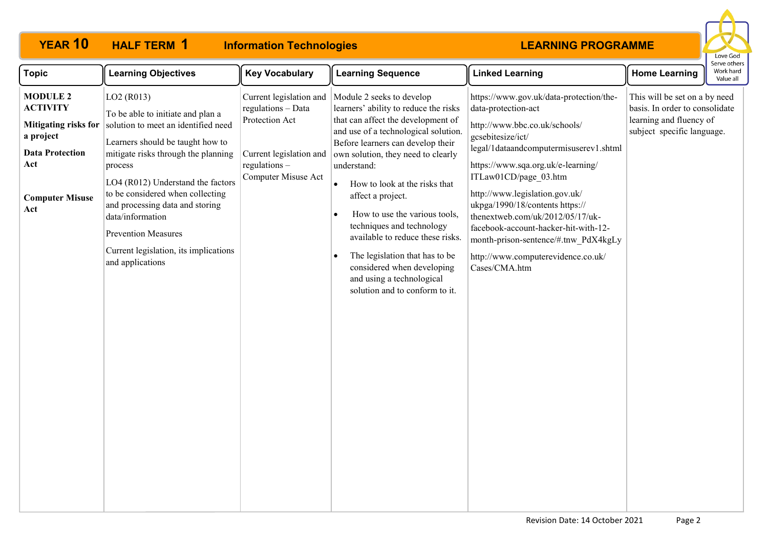# **HALF TERM 1**

# **YEAR 10 HALF TERM Information Technologies**



| <b>Topic</b>                                                                                                                                     | <b>Learning Objectives</b>                                                                                                                                                                                                                                                                                                                                                                                                       | <b>Key Vocabulary</b>                                                                                                                | <b>Learning Sequence</b>                                                                                                                                                                                                                                                                                                                                                                                                                                                                                                                       | <b>Linked Learning</b>                                                                                                                                                                                                                                                                                                                                                                                                                                                        | <b>Home Learning</b>                                                                                                     | Work hard<br>Value all |
|--------------------------------------------------------------------------------------------------------------------------------------------------|----------------------------------------------------------------------------------------------------------------------------------------------------------------------------------------------------------------------------------------------------------------------------------------------------------------------------------------------------------------------------------------------------------------------------------|--------------------------------------------------------------------------------------------------------------------------------------|------------------------------------------------------------------------------------------------------------------------------------------------------------------------------------------------------------------------------------------------------------------------------------------------------------------------------------------------------------------------------------------------------------------------------------------------------------------------------------------------------------------------------------------------|-------------------------------------------------------------------------------------------------------------------------------------------------------------------------------------------------------------------------------------------------------------------------------------------------------------------------------------------------------------------------------------------------------------------------------------------------------------------------------|--------------------------------------------------------------------------------------------------------------------------|------------------------|
| <b>MODULE 2</b><br><b>ACTIVITY</b><br><b>Mitigating risks for</b><br>a project<br><b>Data Protection</b><br>Act<br><b>Computer Misuse</b><br>Act | LO <sub>2</sub> (R <sub>013</sub> )<br>To be able to initiate and plan a<br>solution to meet an identified need<br>Learners should be taught how to<br>mitigate risks through the planning<br>process<br>LO4 (R012) Understand the factors<br>to be considered when collecting<br>and processing data and storing<br>data/information<br><b>Prevention Measures</b><br>Current legislation, its implications<br>and applications | Current legislation and<br>regulations - Data<br>Protection Act<br>Current legislation and<br>$regulations -$<br>Computer Misuse Act | Module 2 seeks to develop<br>learners' ability to reduce the risks<br>that can affect the development of<br>and use of a technological solution.<br>Before learners can develop their<br>own solution, they need to clearly<br>understand:<br>How to look at the risks that<br>$\bullet$<br>affect a project.<br>How to use the various tools,<br>techniques and technology<br>available to reduce these risks.<br>The legislation that has to be<br>considered when developing<br>and using a technological<br>solution and to conform to it. | https://www.gov.uk/data-protection/the-<br>data-protection-act<br>http://www.bbc.co.uk/schools/<br>gcsebitesize/ict/<br>legal/1dataandcomputermisuserev1.shtml<br>https://www.sqa.org.uk/e-learning/<br>ITLaw01CD/page 03.htm<br>http://www.legislation.gov.uk/<br>ukpga/1990/18/contents https://<br>thenextweb.com/uk/2012/05/17/uk-<br>facebook-account-hacker-hit-with-12-<br>month-prison-sentence/#.tnw PdX4kgLy<br>http://www.computerevidence.co.uk/<br>Cases/CMA.htm | This will be set on a by need<br>basis. In order to consolidate<br>learning and fluency of<br>subject specific language. |                        |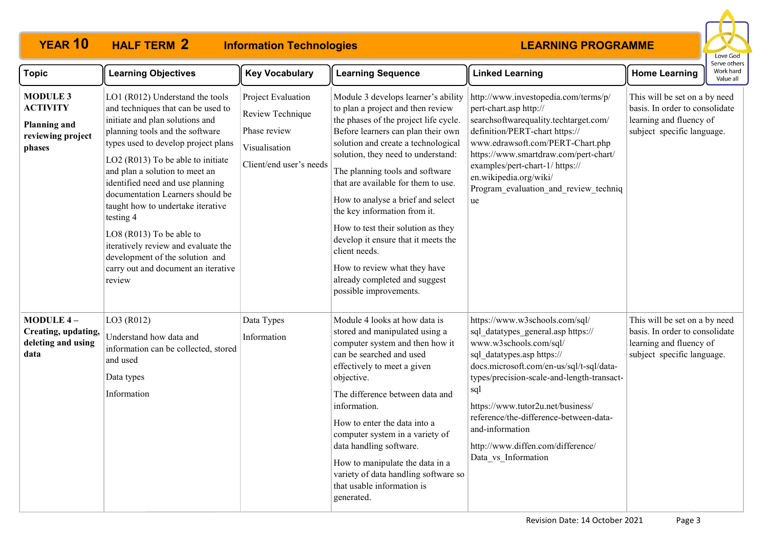#### **YEAR 10 HALF TERM Information Technologies HALF TERM 2**



| <b>Topic</b>                                                                             | <b>Learning Objectives</b>                                                                                                                                                                                                                                                                                                                                                                                                                                                                                                                 | <b>Key Vocabulary</b>                                                                              | <b>Learning Sequence</b>                                                                                                                                                                                                                                                                                                                                                                                                                                                                                                                                                     | <b>Linked Learning</b>                                                                                                                                                                                                                                                                                                                                                                      | <b>Home Learning</b>                                                                                                     | Work hard<br>Value all |
|------------------------------------------------------------------------------------------|--------------------------------------------------------------------------------------------------------------------------------------------------------------------------------------------------------------------------------------------------------------------------------------------------------------------------------------------------------------------------------------------------------------------------------------------------------------------------------------------------------------------------------------------|----------------------------------------------------------------------------------------------------|------------------------------------------------------------------------------------------------------------------------------------------------------------------------------------------------------------------------------------------------------------------------------------------------------------------------------------------------------------------------------------------------------------------------------------------------------------------------------------------------------------------------------------------------------------------------------|---------------------------------------------------------------------------------------------------------------------------------------------------------------------------------------------------------------------------------------------------------------------------------------------------------------------------------------------------------------------------------------------|--------------------------------------------------------------------------------------------------------------------------|------------------------|
| <b>MODULE 3</b><br><b>ACTIVITY</b><br><b>Planning and</b><br>reviewing project<br>phases | LO1 (R012) Understand the tools<br>and techniques that can be used to<br>initiate and plan solutions and<br>planning tools and the software<br>types used to develop project plans<br>LO2 (R013) To be able to initiate<br>and plan a solution to meet an<br>identified need and use planning<br>documentation Learners should be<br>taught how to undertake iterative<br>testing 4<br>LO8 (R013) To be able to<br>iteratively review and evaluate the<br>development of the solution and<br>carry out and document an iterative<br>review | Project Evaluation<br>Review Technique<br>Phase review<br>Visualisation<br>Client/end user's needs | Module 3 develops learner's ability<br>to plan a project and then review<br>the phases of the project life cycle.<br>Before learners can plan their own<br>solution and create a technological<br>solution, they need to understand:<br>The planning tools and software<br>that are available for them to use.<br>How to analyse a brief and select<br>the key information from it.<br>How to test their solution as they<br>develop it ensure that it meets the<br>client needs.<br>How to review what they have<br>already completed and suggest<br>possible improvements. | http://www.investopedia.com/terms/p/<br>pert-chart.asp http://<br>searchsoftwarequality.techtarget.com/<br>definition/PERT-chart https://<br>www.edrawsoft.com/PERT-Chart.php<br>https://www.smartdraw.com/pert-chart/<br>examples/pert-chart-1/ https://<br>en.wikipedia.org/wiki/<br>Program evaluation and review techniq<br>ue                                                          | This will be set on a by need<br>basis. In order to consolidate<br>learning and fluency of<br>subject specific language. |                        |
| <b>MODULE 4-</b><br>Creating, updating,<br>deleting and using<br>data                    | LO3 (R012)<br>Understand how data and<br>information can be collected, stored<br>and used<br>Data types<br>Information                                                                                                                                                                                                                                                                                                                                                                                                                     | Data Types<br>Information                                                                          | Module 4 looks at how data is<br>stored and manipulated using a<br>computer system and then how it<br>can be searched and used<br>effectively to meet a given<br>objective.<br>The difference between data and<br>information.<br>How to enter the data into a<br>computer system in a variety of<br>data handling software.<br>How to manipulate the data in a<br>variety of data handling software so<br>that usable information is<br>generated.                                                                                                                          | https://www.w3schools.com/sql/<br>sql_datatypes_general.asp https://<br>www.w3schools.com/sql/<br>sql_datatypes.asp https://<br>docs.microsoft.com/en-us/sql/t-sql/data-<br>types/precision-scale-and-length-transact-<br>sql<br>https://www.tutor2u.net/business/<br>reference/the-difference-between-data-<br>and-information<br>http://www.diffen.com/difference/<br>Data_vs_Information | This will be set on a by need<br>basis. In order to consolidate<br>learning and fluency of<br>subject specific language. |                        |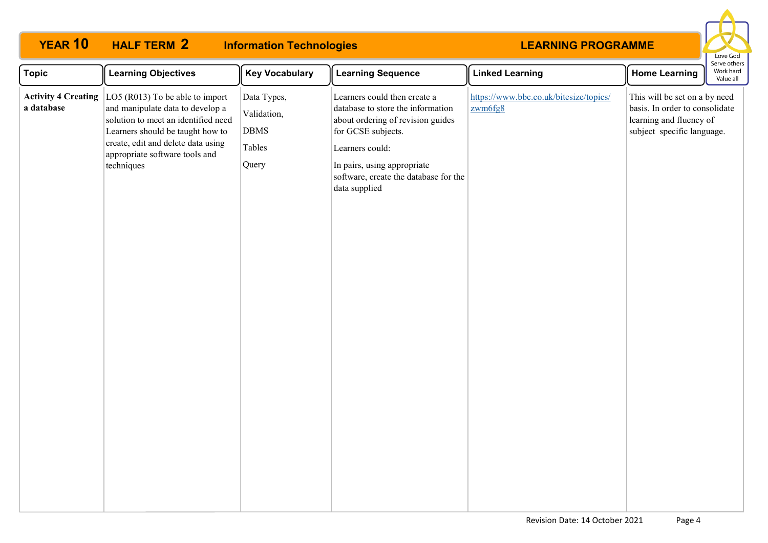#### **LEARNING PROGRAMME Topic Learning Objectives Key Vocabulary Learning Sequence Linked Learning Home Learning YEAR 10 HALF TERM Information Technologies Activity 4 Creating**  LO5 (R013) To be able to import **a database** and manipulate data to develop a solution to meet an identified need Learners should be taught how to create, edit and delete data using appropriate software tools and techniques Data Types, Validation, DBMS Tables **Query** Learners could then create a database to store the information about ordering of revision guides for GCSE subjects. Learners could: In pairs, using appropriate software, create the database for the [https://www.bbc.co.uk/bitesize/topics/](https://www.bbc.co.uk/bitesize/topics/zwm6fg8) [zwm6fg8](https://www.bbc.co.uk/bitesize/topics/zwm6fg8) This will be set on a by need basis. In order to consolidate learning and fluency of subject specific language. **HALF TERM 2**

data supplied

Love God Serve others Work hard Value all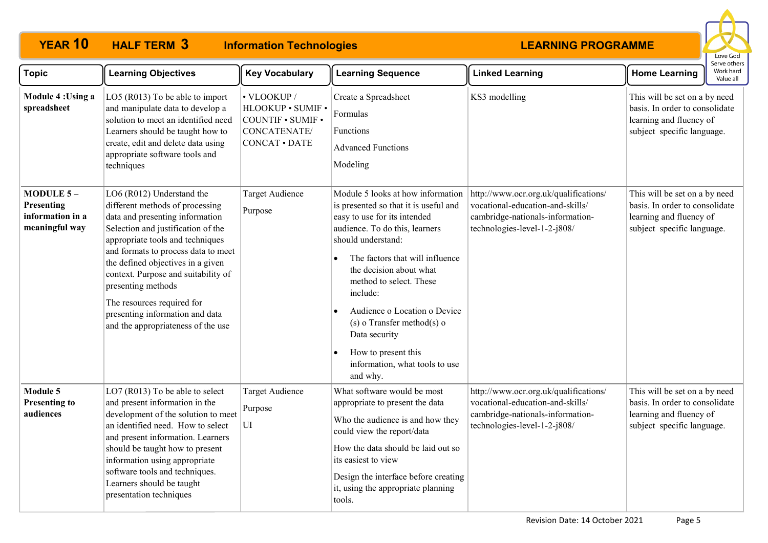#### **YEAR 10 HALF TERM Information Technologies HALF TERM 3**



| <b>Topic</b>                                                    | <b>Learning Objectives</b>                                                                                                                                                                                                                                                                                                                                                                                                | <b>Key Vocabulary</b>                                                                                | <b>Learning Sequence</b>                                                                                                                                                                                                                                                                                                                                                                                                         | <b>Linked Learning</b>                                                                                                                        | ei ve ottier<br>Work hard<br><b>Home Learning</b><br>Value all                                                           |
|-----------------------------------------------------------------|---------------------------------------------------------------------------------------------------------------------------------------------------------------------------------------------------------------------------------------------------------------------------------------------------------------------------------------------------------------------------------------------------------------------------|------------------------------------------------------------------------------------------------------|----------------------------------------------------------------------------------------------------------------------------------------------------------------------------------------------------------------------------------------------------------------------------------------------------------------------------------------------------------------------------------------------------------------------------------|-----------------------------------------------------------------------------------------------------------------------------------------------|--------------------------------------------------------------------------------------------------------------------------|
| Module 4: Using a<br>spreadsheet                                | LO5 (R013) To be able to import<br>and manipulate data to develop a<br>solution to meet an identified need<br>Learners should be taught how to<br>create, edit and delete data using<br>appropriate software tools and<br>techniques                                                                                                                                                                                      | • VLOOKUP /<br>HLOOKUP · SUMIF ·<br><b>COUNTIF . SUMIF .</b><br>CONCATENATE/<br><b>CONCAT · DATE</b> | Create a Spreadsheet<br>Formulas<br>Functions<br><b>Advanced Functions</b><br>Modeling                                                                                                                                                                                                                                                                                                                                           | KS3 modelling                                                                                                                                 | This will be set on a by need<br>basis. In order to consolidate<br>learning and fluency of<br>subject specific language. |
| MODULE $5-$<br>Presenting<br>information in a<br>meaningful way | LO6 (R012) Understand the<br>different methods of processing<br>data and presenting information<br>Selection and justification of the<br>appropriate tools and techniques<br>and formats to process data to meet<br>the defined objectives in a given<br>context. Purpose and suitability of<br>presenting methods<br>The resources required for<br>presenting information and data<br>and the appropriateness of the use | <b>Target Audience</b><br>Purpose                                                                    | Module 5 looks at how information<br>is presented so that it is useful and<br>easy to use for its intended<br>audience. To do this, learners<br>should understand:<br>The factors that will influence<br>the decision about what<br>method to select. These<br>include:<br>Audience o Location o Device<br>$(s)$ o Transfer method $(s)$ o<br>Data security<br>How to present this<br>information, what tools to use<br>and why. | http://www.ocr.org.uk/qualifications/<br>vocational-education-and-skills/<br>cambridge-nationals-information-<br>technologies-level-1-2-j808/ | This will be set on a by need<br>basis. In order to consolidate<br>learning and fluency of<br>subject specific language. |
| Module 5<br><b>Presenting to</b><br>audiences                   | LO7 (R013) To be able to select<br>and present information in the<br>development of the solution to meet<br>an identified need. How to select<br>and present information. Learners<br>should be taught how to present<br>information using appropriate<br>software tools and techniques.<br>Learners should be taught<br>presentation techniques                                                                          | <b>Target Audience</b><br>Purpose<br>UI                                                              | What software would be most<br>appropriate to present the data<br>Who the audience is and how they<br>could view the report/data<br>How the data should be laid out so<br>its easiest to view<br>Design the interface before creating<br>it, using the appropriate planning<br>tools.                                                                                                                                            | http://www.ocr.org.uk/qualifications/<br>vocational-education-and-skills/<br>cambridge-nationals-information-<br>technologies-level-1-2-j808/ | This will be set on a by need<br>basis. In order to consolidate<br>learning and fluency of<br>subject specific language. |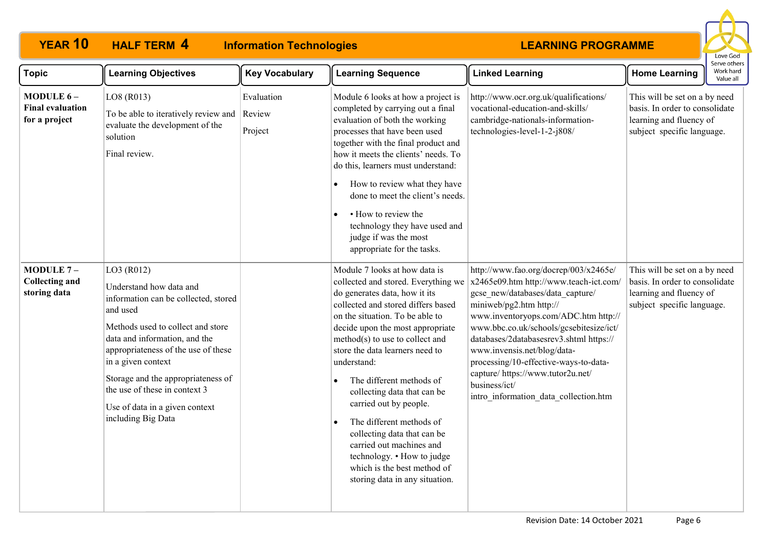# **HALF TERM 4**

**YEAR 10 HALF TERM Information Technologies**



| <b>Topic</b>                                          | <b>Learning Objectives</b>                                                                                                                                                                                                                                                                                                                                  | <b>Key Vocabulary</b>           | <b>Learning Sequence</b>                                                                                                                                                                                                                                                                                                                                                                                                                                                                                                                                                                                     | <b>Linked Learning</b>                                                                                                                                                                                                                                                                                                                                                                                                                              | <b>Home Learning</b>                                                                                                     | Work hard<br>Value all |
|-------------------------------------------------------|-------------------------------------------------------------------------------------------------------------------------------------------------------------------------------------------------------------------------------------------------------------------------------------------------------------------------------------------------------------|---------------------------------|--------------------------------------------------------------------------------------------------------------------------------------------------------------------------------------------------------------------------------------------------------------------------------------------------------------------------------------------------------------------------------------------------------------------------------------------------------------------------------------------------------------------------------------------------------------------------------------------------------------|-----------------------------------------------------------------------------------------------------------------------------------------------------------------------------------------------------------------------------------------------------------------------------------------------------------------------------------------------------------------------------------------------------------------------------------------------------|--------------------------------------------------------------------------------------------------------------------------|------------------------|
| MODULE 6-<br><b>Final evaluation</b><br>for a project | LO8 (R013)<br>To be able to iteratively review and<br>evaluate the development of the<br>solution<br>Final review.                                                                                                                                                                                                                                          | Evaluation<br>Review<br>Project | Module 6 looks at how a project is<br>completed by carrying out a final<br>evaluation of both the working<br>processes that have been used<br>together with the final product and<br>how it meets the clients' needs. To<br>do this, learners must understand:<br>How to review what they have<br>done to meet the client's needs.<br>• How to review the<br>technology they have used and<br>judge if was the most<br>appropriate for the tasks.                                                                                                                                                            | http://www.ocr.org.uk/qualifications/<br>vocational-education-and-skills/<br>cambridge-nationals-information-<br>technologies-level-1-2-j808/                                                                                                                                                                                                                                                                                                       | This will be set on a by need<br>basis. In order to consolidate<br>learning and fluency of<br>subject specific language. |                        |
| MODULE $7-$<br><b>Collecting and</b><br>storing data  | LO3 (R012)<br>Understand how data and<br>information can be collected, stored<br>and used<br>Methods used to collect and store<br>data and information, and the<br>appropriateness of the use of these<br>in a given context<br>Storage and the appropriateness of<br>the use of these in context 3<br>Use of data in a given context<br>including Big Data |                                 | Module 7 looks at how data is<br>collected and stored. Everything we<br>do generates data, how it its<br>collected and stored differs based<br>on the situation. To be able to<br>decide upon the most appropriate<br>method(s) to use to collect and<br>store the data learners need to<br>understand:<br>The different methods of<br>$\bullet$<br>collecting data that can be<br>carried out by people.<br>The different methods of<br>$\bullet$<br>collecting data that can be<br>carried out machines and<br>technology. • How to judge<br>which is the best method of<br>storing data in any situation. | http://www.fao.org/docrep/003/x2465e/<br>x2465e09.htm http://www.teach-ict.com/<br>gcse new/databases/data capture/<br>miniweb/pg2.htm http://<br>www.inventoryops.com/ADC.htm http://<br>www.bbc.co.uk/schools/gcsebitesize/ict/<br>databases/2databasesrev3.shtml https://<br>www.invensis.net/blog/data-<br>processing/10-effective-ways-to-data-<br>capture/ https://www.tutor2u.net/<br>business/ict/<br>intro information data collection.htm | This will be set on a by need<br>basis. In order to consolidate<br>learning and fluency of<br>subject specific language. |                        |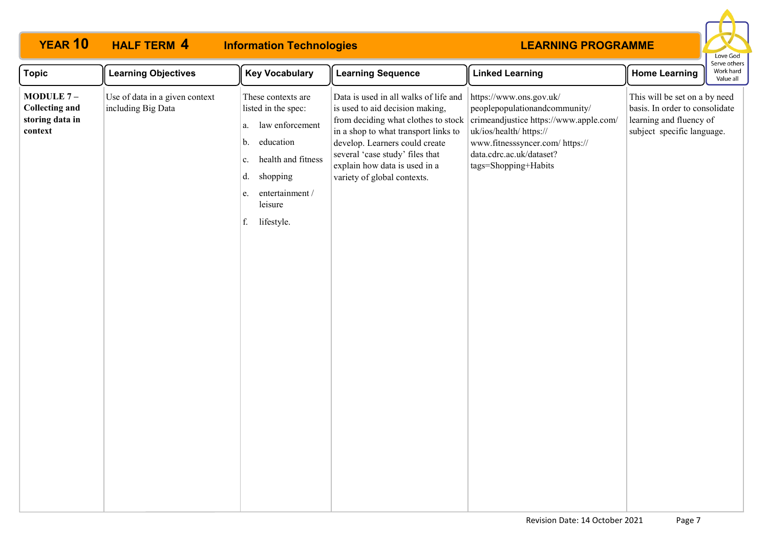| <b>YEAR 10</b>                                                     | <b>HALF TERM 4</b>                                   | <b>Information Technologies</b>                                                                                                                                                             |                                                                                                                                                                                                                                                                                              | <b>LEARNING PROGRAMME</b>                                                                                                                                                                                            |                                                                                                                          | Love God                               |
|--------------------------------------------------------------------|------------------------------------------------------|---------------------------------------------------------------------------------------------------------------------------------------------------------------------------------------------|----------------------------------------------------------------------------------------------------------------------------------------------------------------------------------------------------------------------------------------------------------------------------------------------|----------------------------------------------------------------------------------------------------------------------------------------------------------------------------------------------------------------------|--------------------------------------------------------------------------------------------------------------------------|----------------------------------------|
| <b>Topic</b>                                                       | <b>Learning Objectives</b>                           | <b>Key Vocabulary</b>                                                                                                                                                                       | <b>Learning Sequence</b>                                                                                                                                                                                                                                                                     | <b>Linked Learning</b>                                                                                                                                                                                               | <b>Home Learning</b>                                                                                                     | Serve others<br>Work hard<br>Value all |
| MODULE $7-$<br><b>Collecting and</b><br>storing data in<br>context | Use of data in a given context<br>including Big Data | These contexts are<br>listed in the spec:<br>law enforcement<br>a.<br>education<br>b.<br>health and fitness<br>c.<br>shopping<br>d.<br>entertainment /<br>e.<br>leisure<br>lifestyle.<br>f. | Data is used in all walks of life and<br>is used to aid decision making,<br>from deciding what clothes to stock<br>in a shop to what transport links to<br>develop. Learners could create<br>several 'case study' files that<br>explain how data is used in a<br>variety of global contexts. | https://www.ons.gov.uk/<br>peoplepopulationandcommunity/<br>crimeandjustice https://www.apple.com/<br>uk/ios/health/ https://<br>www.fitnesssyncer.com/ https://<br>data.cdrc.ac.uk/dataset?<br>tags=Shopping+Habits | This will be set on a by need<br>basis. In order to consolidate<br>learning and fluency of<br>subject specific language. |                                        |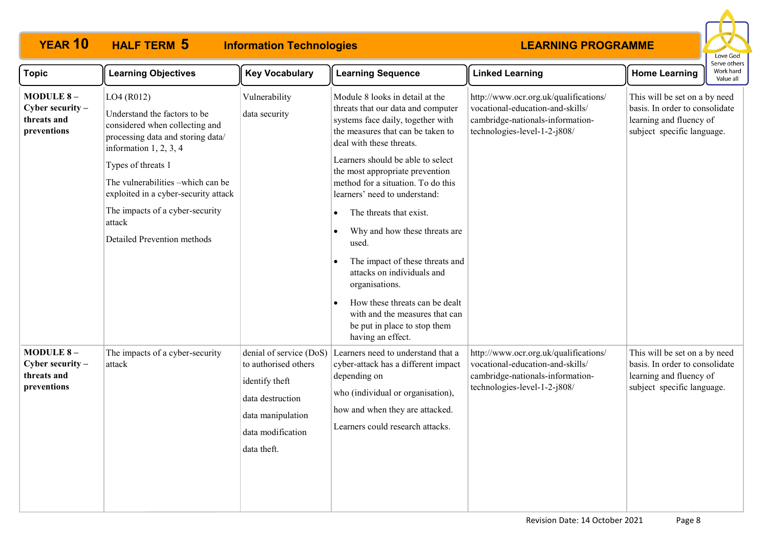# **HALF TERM 5**

# **YEAR 10 HALF TERM 5 Information Technologies**



| <b>Topic</b>                                                         | <b>Learning Objectives</b>                                                                                                                                                                                                                                                                                                   | <b>Key Vocabulary</b>                                                                                                                          | <b>Learning Sequence</b>                                                                                                                                                                                                                                                                                                                                                                                                                                                                                                                                                                                    | <b>Linked Learning</b>                                                                                                                        | <b>Home Learning</b>                                                                                                     | Work hard<br>Value all |
|----------------------------------------------------------------------|------------------------------------------------------------------------------------------------------------------------------------------------------------------------------------------------------------------------------------------------------------------------------------------------------------------------------|------------------------------------------------------------------------------------------------------------------------------------------------|-------------------------------------------------------------------------------------------------------------------------------------------------------------------------------------------------------------------------------------------------------------------------------------------------------------------------------------------------------------------------------------------------------------------------------------------------------------------------------------------------------------------------------------------------------------------------------------------------------------|-----------------------------------------------------------------------------------------------------------------------------------------------|--------------------------------------------------------------------------------------------------------------------------|------------------------|
| <b>MODULE 8-</b><br>Cyber security $-$<br>threats and<br>preventions | LO4 (R012)<br>Understand the factors to be<br>considered when collecting and<br>processing data and storing data/<br>information $1, 2, 3, 4$<br>Types of threats 1<br>The vulnerabilities -which can be<br>exploited in a cyber-security attack<br>The impacts of a cyber-security<br>attack<br>Detailed Prevention methods | Vulnerability<br>data security                                                                                                                 | Module 8 looks in detail at the<br>threats that our data and computer<br>systems face daily, together with<br>the measures that can be taken to<br>deal with these threats.<br>Learners should be able to select<br>the most appropriate prevention<br>method for a situation. To do this<br>learners' need to understand:<br>The threats that exist.<br>Why and how these threats are<br>used.<br>The impact of these threats and<br>attacks on individuals and<br>organisations.<br>How these threats can be dealt<br>with and the measures that can<br>be put in place to stop them<br>having an effect. | http://www.ocr.org.uk/qualifications/<br>vocational-education-and-skills/<br>cambridge-nationals-information-<br>technologies-level-1-2-j808/ | This will be set on a by need<br>basis. In order to consolidate<br>learning and fluency of<br>subject specific language. |                        |
| <b>MODULE 8-</b><br>Cyber security $-$<br>threats and<br>preventions | The impacts of a cyber-security<br>attack                                                                                                                                                                                                                                                                                    | denial of service (DoS)<br>to authorised others<br>identify theft<br>data destruction<br>data manipulation<br>data modification<br>data theft. | Learners need to understand that a<br>cyber-attack has a different impact<br>depending on<br>who (individual or organisation),<br>how and when they are attacked.<br>Learners could research attacks.                                                                                                                                                                                                                                                                                                                                                                                                       | http://www.ocr.org.uk/qualifications/<br>vocational-education-and-skills/<br>cambridge-nationals-information-<br>technologies-level-1-2-j808/ | This will be set on a by need<br>basis. In order to consolidate<br>learning and fluency of<br>subject specific language. |                        |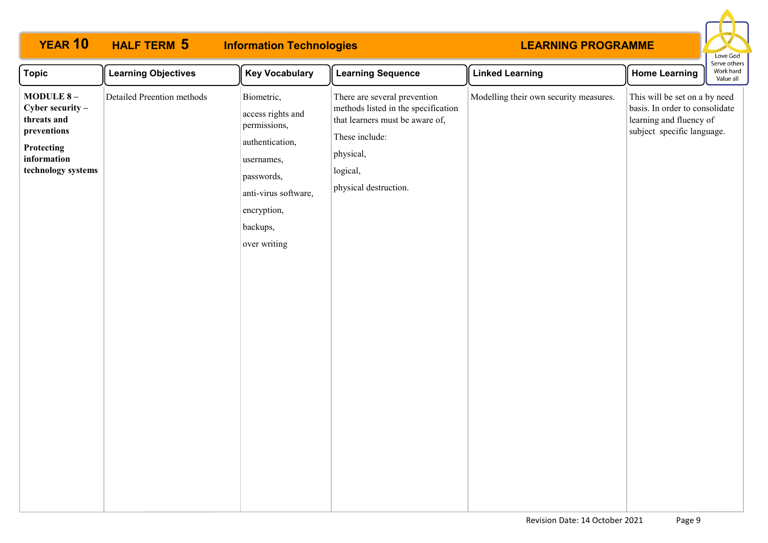| <b>YEAR 10</b>                                                                                                          | <b>HALF TERM 5</b>         | <b>Information Technologies</b>                                                                                                                                   |                                                                                                                                                                            | <b>LEARNING PROGRAMME</b>              |                                                                                                                          | Love God                               |
|-------------------------------------------------------------------------------------------------------------------------|----------------------------|-------------------------------------------------------------------------------------------------------------------------------------------------------------------|----------------------------------------------------------------------------------------------------------------------------------------------------------------------------|----------------------------------------|--------------------------------------------------------------------------------------------------------------------------|----------------------------------------|
| <b>Topic</b>                                                                                                            | <b>Learning Objectives</b> | <b>Key Vocabulary</b>                                                                                                                                             | <b>Learning Sequence</b>                                                                                                                                                   | <b>Linked Learning</b>                 | <b>Home Learning</b>                                                                                                     | Serve others<br>Work hard<br>Value all |
| MODULE 8-<br>Cyber security $-$<br>threats and<br>preventions<br><b>Protecting</b><br>information<br>technology systems | Detailed Preention methods | Biometric,<br>access rights and<br>permissions,<br>authentication,<br>usernames,<br>passwords,<br>anti-virus software,<br>encryption,<br>backups,<br>over writing | There are several prevention<br>methods listed in the specification<br>that learners must be aware of,<br>These include:<br>physical,<br>logical,<br>physical destruction. | Modelling their own security measures. | This will be set on a by need<br>basis. In order to consolidate<br>learning and fluency of<br>subject specific language. |                                        |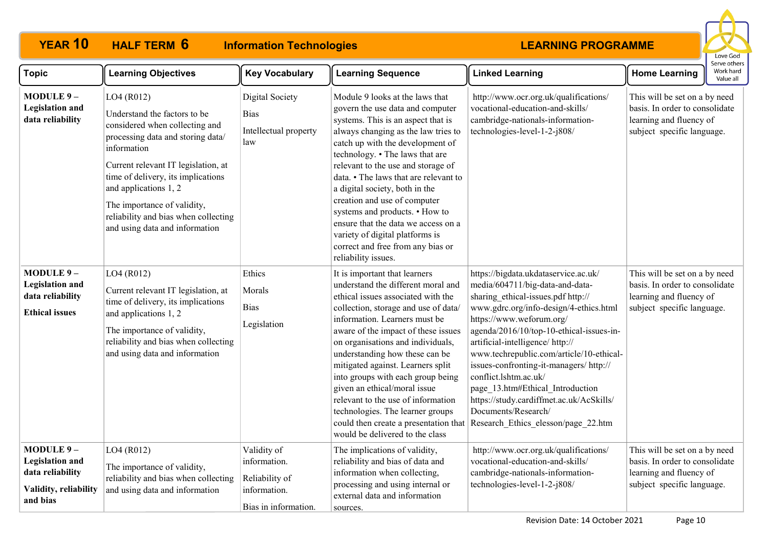#### **YEAR 10 HALF TERM 6 Information Technologies HALF TERM 6**



| <b>Topic</b>                                                                                 | <b>Learning Objectives</b>                                                                                                                                                                                                                                                                                                                      | <b>Key Vocabulary</b>                                                                 | <b>Learning Sequence</b>                                                                                                                                                                                                                                                                                                                                                                                                                                                                                                                                         | <b>Linked Learning</b>                                                                                                                                                                                                                                                                                                                                                                                                                                                                                                           | <b>Home Learning</b>                                                                                                     | Work hard<br>Value all |
|----------------------------------------------------------------------------------------------|-------------------------------------------------------------------------------------------------------------------------------------------------------------------------------------------------------------------------------------------------------------------------------------------------------------------------------------------------|---------------------------------------------------------------------------------------|------------------------------------------------------------------------------------------------------------------------------------------------------------------------------------------------------------------------------------------------------------------------------------------------------------------------------------------------------------------------------------------------------------------------------------------------------------------------------------------------------------------------------------------------------------------|----------------------------------------------------------------------------------------------------------------------------------------------------------------------------------------------------------------------------------------------------------------------------------------------------------------------------------------------------------------------------------------------------------------------------------------------------------------------------------------------------------------------------------|--------------------------------------------------------------------------------------------------------------------------|------------------------|
| MODULE 9-<br><b>Legislation and</b><br>data reliability                                      | LO4 (R012)<br>Understand the factors to be<br>considered when collecting and<br>processing data and storing data/<br>information<br>Current relevant IT legislation, at<br>time of delivery, its implications<br>and applications 1, 2<br>The importance of validity,<br>reliability and bias when collecting<br>and using data and information | <b>Digital Society</b><br><b>Bias</b><br>Intellectual property<br>law                 | Module 9 looks at the laws that<br>govern the use data and computer<br>systems. This is an aspect that is<br>always changing as the law tries to<br>catch up with the development of<br>technology. • The laws that are<br>relevant to the use and storage of<br>data. • The laws that are relevant to<br>a digital society, both in the<br>creation and use of computer<br>systems and products. • How to<br>ensure that the data we access on a<br>variety of digital platforms is<br>correct and free from any bias or<br>reliability issues.                 | http://www.ocr.org.uk/qualifications/<br>vocational-education-and-skills/<br>cambridge-nationals-information-<br>technologies-level-1-2-j808/                                                                                                                                                                                                                                                                                                                                                                                    | This will be set on a by need<br>basis. In order to consolidate<br>learning and fluency of<br>subject specific language. |                        |
| MODULE 9-<br><b>Legislation and</b><br>data reliability<br><b>Ethical issues</b>             | LO4 (R012)<br>Current relevant IT legislation, at<br>time of delivery, its implications<br>and applications 1, 2<br>The importance of validity,<br>reliability and bias when collecting<br>and using data and information                                                                                                                       | Ethics<br>Morals<br><b>Bias</b><br>Legislation                                        | It is important that learners<br>understand the different moral and<br>ethical issues associated with the<br>collection, storage and use of data/<br>information. Learners must be<br>aware of the impact of these issues<br>on organisations and individuals,<br>understanding how these can be<br>mitigated against. Learners split<br>into groups with each group being<br>given an ethical/moral issue<br>relevant to the use of information<br>technologies. The learner groups<br>could then create a presentation that<br>would be delivered to the class | https://bigdata.ukdataservice.ac.uk/<br>media/604711/big-data-and-data-<br>sharing_ethical-issues.pdf http://<br>www.gdrc.org/info-design/4-ethics.html<br>https://www.weforum.org/<br>agenda/2016/10/top-10-ethical-issues-in-<br>artificial-intelligence/http://<br>www.techrepublic.com/article/10-ethical-<br>issues-confronting-it-managers/ http://<br>conflict.lshtm.ac.uk/<br>page_13.htm#Ethical_Introduction<br>https://study.cardiffmet.ac.uk/AcSkills/<br>Documents/Research/<br>Research Ethics elesson/page 22.htm | This will be set on a by need<br>basis. In order to consolidate<br>learning and fluency of<br>subject specific language. |                        |
| MODULE 9-<br><b>Legislation and</b><br>data reliability<br>Validity, reliability<br>and bias | LO4 (R012)<br>The importance of validity,<br>reliability and bias when collecting<br>and using data and information                                                                                                                                                                                                                             | Validity of<br>information.<br>Reliability of<br>information.<br>Bias in information. | The implications of validity,<br>reliability and bias of data and<br>information when collecting,<br>processing and using internal or<br>external data and information<br>sources.                                                                                                                                                                                                                                                                                                                                                                               | http://www.ocr.org.uk/qualifications/<br>vocational-education-and-skills/<br>cambridge-nationals-information-<br>technologies-level-1-2-j808/                                                                                                                                                                                                                                                                                                                                                                                    | This will be set on a by need<br>basis. In order to consolidate<br>learning and fluency of<br>subject specific language. |                        |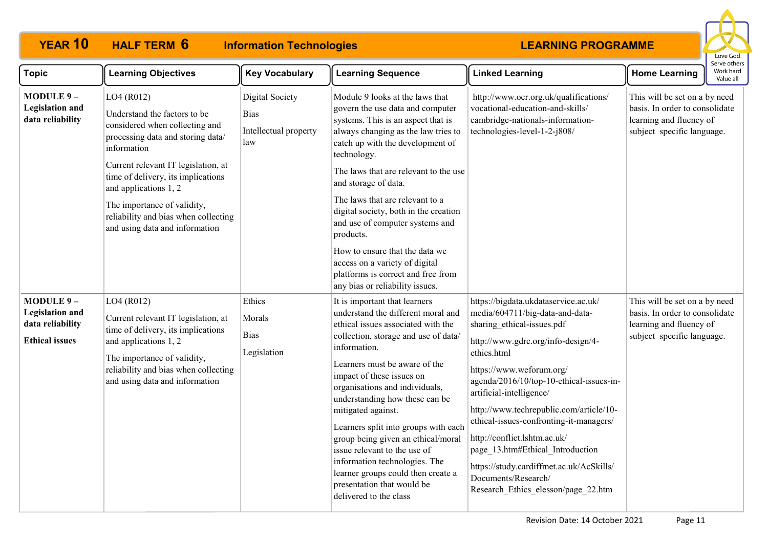#### **YEAR 10 HALF TERM 6 Information Technologies HALF TERM 6**



| <b>Topic</b>                                                                     | <b>Learning Objectives</b>                                                                                                                                                                                                                                                                                                                      | <b>Key Vocabulary</b>                                          | <b>Learning Sequence</b>                                                                                                                                                                                                                                                                                                                                                                                                                                                                                                                                               | <b>Linked Learning</b>                                                                                                                                                                                                                                                                                                                                                                                                                                                                                                             | <b>Home Learning</b>                                                                                                     | Work hard<br>Value all |
|----------------------------------------------------------------------------------|-------------------------------------------------------------------------------------------------------------------------------------------------------------------------------------------------------------------------------------------------------------------------------------------------------------------------------------------------|----------------------------------------------------------------|------------------------------------------------------------------------------------------------------------------------------------------------------------------------------------------------------------------------------------------------------------------------------------------------------------------------------------------------------------------------------------------------------------------------------------------------------------------------------------------------------------------------------------------------------------------------|------------------------------------------------------------------------------------------------------------------------------------------------------------------------------------------------------------------------------------------------------------------------------------------------------------------------------------------------------------------------------------------------------------------------------------------------------------------------------------------------------------------------------------|--------------------------------------------------------------------------------------------------------------------------|------------------------|
| MODULE 9-<br><b>Legislation and</b><br>data reliability                          | LO4 (R012)<br>Understand the factors to be<br>considered when collecting and<br>processing data and storing data/<br>information<br>Current relevant IT legislation, at<br>time of delivery, its implications<br>and applications 1, 2<br>The importance of validity,<br>reliability and bias when collecting<br>and using data and information | Digital Society<br><b>Bias</b><br>Intellectual property<br>law | Module 9 looks at the laws that<br>govern the use data and computer<br>systems. This is an aspect that is<br>always changing as the law tries to<br>catch up with the development of<br>technology.<br>The laws that are relevant to the use<br>and storage of data.<br>The laws that are relevant to a<br>digital society, both in the creation<br>and use of computer systems and<br>products.<br>How to ensure that the data we<br>access on a variety of digital<br>platforms is correct and free from<br>any bias or reliability issues.                          | http://www.ocr.org.uk/qualifications/<br>vocational-education-and-skills/<br>cambridge-nationals-information-<br>technologies-level-1-2-j808/                                                                                                                                                                                                                                                                                                                                                                                      | This will be set on a by need<br>basis. In order to consolidate<br>learning and fluency of<br>subject specific language. |                        |
| MODULE 9-<br><b>Legislation and</b><br>data reliability<br><b>Ethical issues</b> | LO4 (R012)<br>Current relevant IT legislation, at<br>time of delivery, its implications<br>and applications 1, 2<br>The importance of validity,<br>reliability and bias when collecting<br>and using data and information                                                                                                                       | Ethics<br>Morals<br><b>Bias</b><br>Legislation                 | It is important that learners<br>understand the different moral and<br>ethical issues associated with the<br>collection, storage and use of data/<br>information.<br>Learners must be aware of the<br>impact of these issues on<br>organisations and individuals,<br>understanding how these can be<br>mitigated against.<br>Learners split into groups with each<br>group being given an ethical/moral<br>issue relevant to the use of<br>information technologies. The<br>learner groups could then create a<br>presentation that would be<br>delivered to the class | https://bigdata.ukdataservice.ac.uk/<br>media/604711/big-data-and-data-<br>sharing ethical-issues.pdf<br>http://www.gdrc.org/info-design/4-<br>ethics.html<br>https://www.weforum.org/<br>agenda/2016/10/top-10-ethical-issues-in-<br>artificial-intelligence/<br>http://www.techrepublic.com/article/10-<br>ethical-issues-confronting-it-managers/<br>http://conflict.lshtm.ac.uk/<br>page 13.htm#Ethical Introduction<br>https://study.cardiffmet.ac.uk/AcSkills/<br>Documents/Research/<br>Research Ethics elesson/page_22.htm | This will be set on a by need<br>basis. In order to consolidate<br>learning and fluency of<br>subject specific language. |                        |